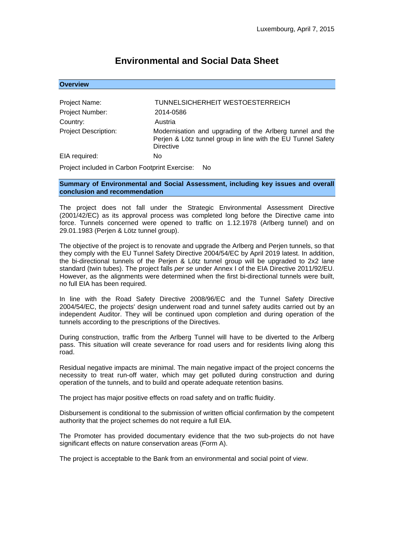# **Environmental and Social Data Sheet**

| <b>Overview</b> |  |  |  |
|-----------------|--|--|--|
|                 |  |  |  |

| Project Name:               | TUNNELSICHERHEIT WESTOESTERREICH                                                                                                              |  |
|-----------------------------|-----------------------------------------------------------------------------------------------------------------------------------------------|--|
| Project Number:             | 2014-0586                                                                                                                                     |  |
| Country:                    | Austria                                                                                                                                       |  |
| <b>Project Description:</b> | Modernisation and upgrading of the Arlberg tunnel and the<br>Perjen & Lötz tunnel group in line with the EU Tunnel Safety<br><b>Directive</b> |  |
| EIA required:               | No                                                                                                                                            |  |

Project included in Carbon Footprint Exercise: No

**Summary of Environmental and Social Assessment, including key issues and overall conclusion and recommendation**

The project does not fall under the Strategic Environmental Assessment Directive (2001/42/EC) as its approval process was completed long before the Directive came into force. Tunnels concerned were opened to traffic on 1.12.1978 (Arlberg tunnel) and on 29.01.1983 (Perjen & Lötz tunnel group).

The objective of the project is to renovate and upgrade the Arlberg and Perjen tunnels, so that they comply with the EU Tunnel Safety Directive 2004/54/EC by April 2019 latest. In addition, the bi-directional tunnels of the Perjen & Lötz tunnel group will be upgraded to 2x2 lane standard (twin tubes). The project falls *per se* under Annex I of the EIA Directive 2011/92/EU. However, as the alignments were determined when the first bi-directional tunnels were built, no full EIA has been required.

In line with the Road Safety Directive 2008/96/EC and the Tunnel Safety Directive 2004/54/EC, the projects' design underwent road and tunnel safety audits carried out by an independent Auditor. They will be continued upon completion and during operation of the tunnels according to the prescriptions of the Directives.

During construction, traffic from the Arlberg Tunnel will have to be diverted to the Arlberg pass. This situation will create severance for road users and for residents living along this road.

Residual negative impacts are minimal. The main negative impact of the project concerns the necessity to treat run-off water, which may get polluted during construction and during operation of the tunnels, and to build and operate adequate retention basins.

The project has major positive effects on road safety and on traffic fluidity.

Disbursement is conditional to the submission of written official confirmation by the competent authority that the project schemes do not require a full EIA.

The Promoter has provided documentary evidence that the two sub-projects do not have significant effects on nature conservation areas (Form A).

The project is acceptable to the Bank from an environmental and social point of view.